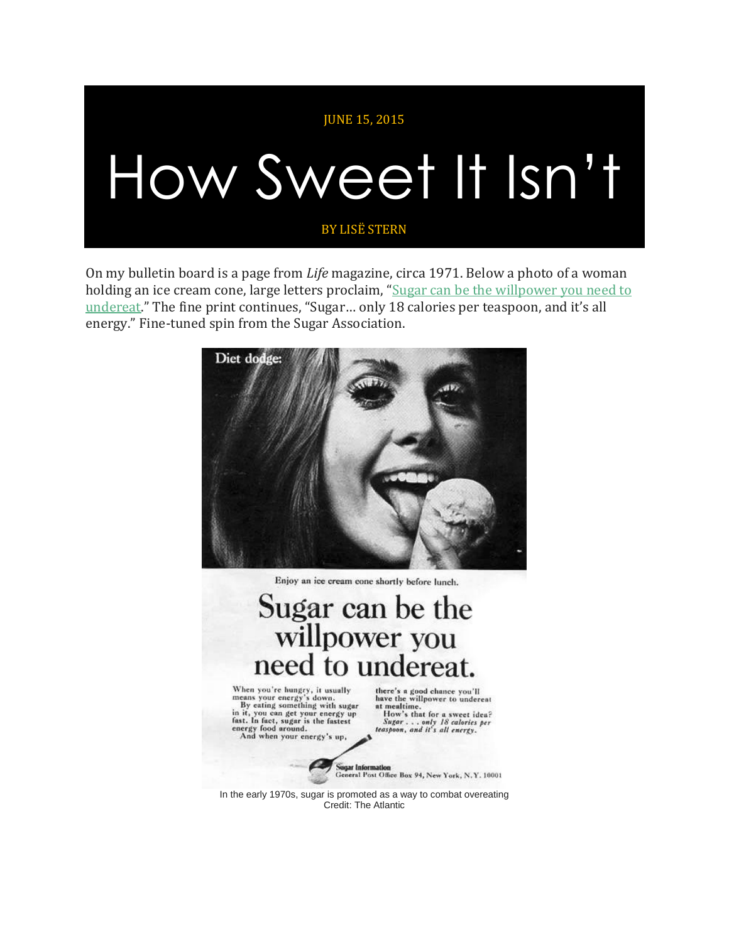## JUNE 15, 2015 How Sweet It Isn't BY LISË STERN

On my bulletin board is a page from *Life* magazine, circa 1971. Below a photo of a woman holding an ice cream cone, large letters proclaim, "Sugar can be the [willpower](http://blogs.plos.org/obesitypanacea/2010/10/25/outrageous-food-ads-from-the-past/) you need to [undereat](http://blogs.plos.org/obesitypanacea/2010/10/25/outrageous-food-ads-from-the-past/)." The fine print continues, "Sugar… only 18 calories per teaspoon, and it's all energy." Fine-tuned spin from the Sugar Association.



In the early 1970s, sugar is promoted as a way to combat overeating Credit: The Atlantic

 $C_{\rm c}$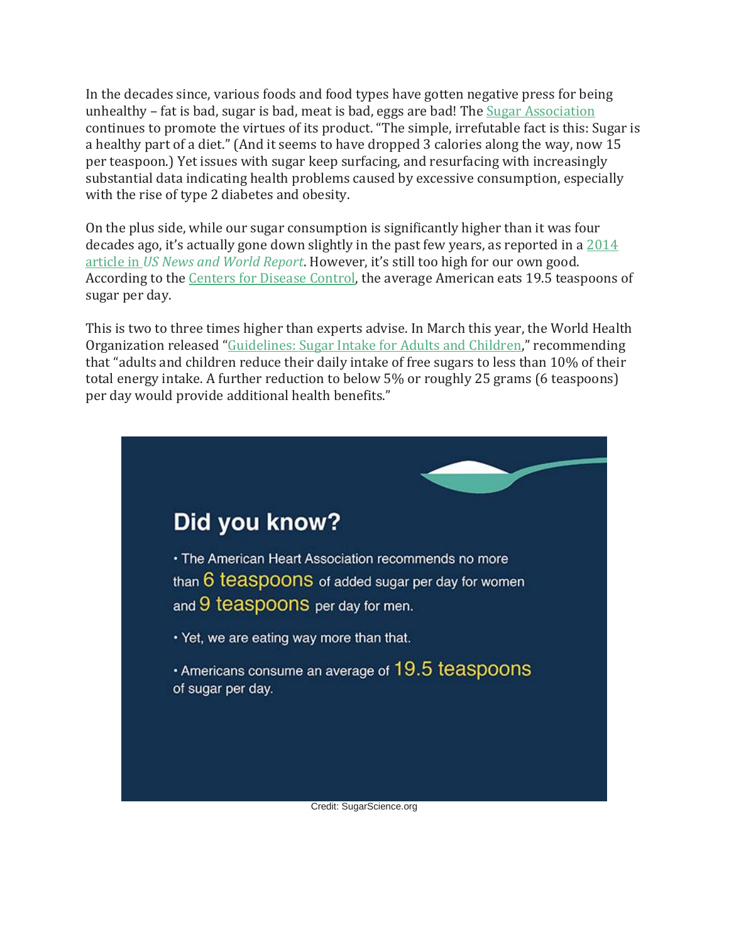In the decades since, various foods and food types have gotten negative press for being unhealthy – fat is bad, sugar is bad, meat is bad, eggs are bad! The Sugar [Association](http://www.sugar.org/sugar-your-diet/balanced-diet/) continues to promote the virtues of its product. "The simple, irrefutable fact is this: Sugar is a healthy part of a diet." (And it seems to have dropped 3 calories along the way, now 15 per teaspoon.) Yet issues with sugar keep surfacing, and resurfacing with increasingly substantial data indicating health problems caused by excessive consumption, especially with the rise of type 2 diabetes and obesity.

On the plus side, while our sugar consumption is significantly higher than it was four decades ago, it's actually gone down slightly in the past few years, as reported in a [2014](http://www.usnews.com/news/blogs/data-mine/2014/02/25/surprise-american-sugar-consumption-is-on-the-decline) article in *US News and World [Report](http://www.usnews.com/news/blogs/data-mine/2014/02/25/surprise-american-sugar-consumption-is-on-the-decline)*. However, it's still too high for our own good. According to the Centers for Disease [Control,](http://www.sugarscience.org/the-growing-concern-of-overconsumption/#.VYuUB_lViko) the average American eats 19.5 teaspoons of sugar per day.

This is two to three times higher than experts advise. In March this year, the World Health Organization released "[Guidelines:](http://www.who.int/mediacentre/news/releases/2015/sugar-guideline/en/) Sugar Intake for Adults and Children," recommending that "adults and children reduce their daily intake of free sugars to less than 10% of their total energy intake. A further reduction to below 5% or roughly 25 grams (6 teaspoons) per day would provide additional health benefits."

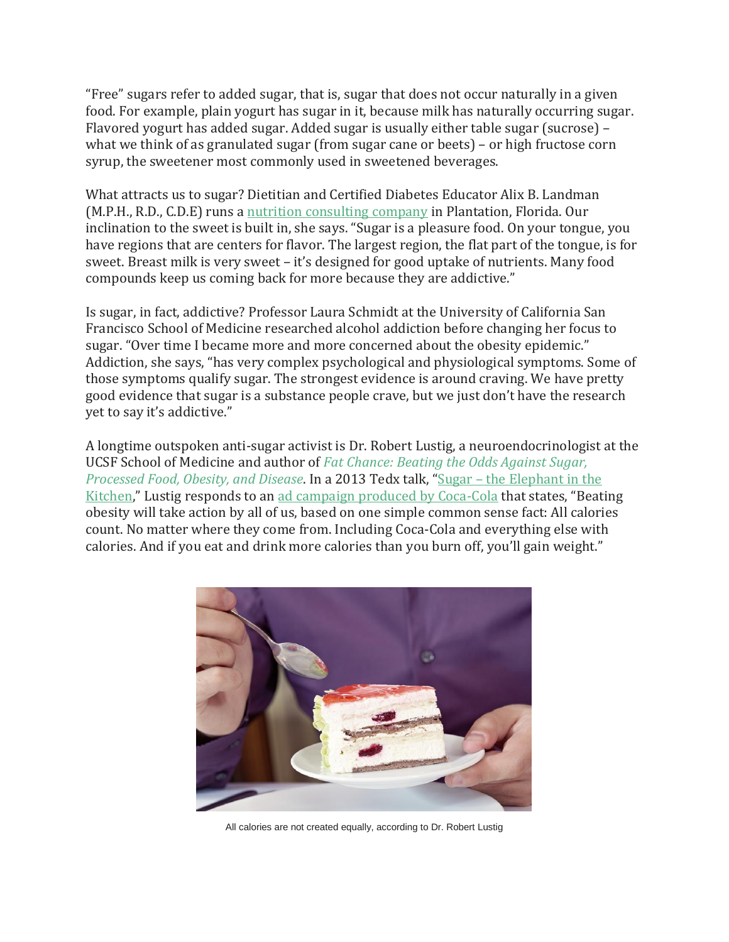"Free" sugars refer to added sugar, that is, sugar that does not occur naturally in a given food. For example, plain yogurt has sugar in it, because milk has naturally occurring sugar. Flavored yogurt has added sugar. Added sugar is usually either table sugar (sucrose) – what we think of as granulated sugar (from sugar cane or beets) – or high fructose corn syrup, the sweetener most commonly used in sweetened beverages.

What attracts us to sugar? Dietitian and Certified Diabetes Educator Alix B. Landman (M.P.H., R.D., C.D.E) runs a nutrition [consulting](http://www.nutritionsmarts.com/) company in Plantation, Florida. Our inclination to the sweet is built in, she says. "Sugar is a pleasure food. On your tongue, you have regions that are centers for flavor. The largest region, the flat part of the tongue, is for sweet. Breast milk is very sweet – it's designed for good uptake of nutrients. Many food compounds keep us coming back for more because they are addictive."

Is sugar, in fact, addictive? Professor Laura Schmidt at the University of California San Francisco School of Medicine researched alcohol addiction before changing her focus to sugar. "Over time I became more and more concerned about the obesity epidemic." Addiction, she says, "has very complex psychological and physiological symptoms. Some of those symptoms qualify sugar. The strongest evidence is around craving. We have pretty good evidence that sugar is a substance people crave, but we just don't have the research yet to say it's addictive."

A longtime outspoken anti-sugar activist is Dr. Robert Lustig, a neuroendocrinologist at the UCSF School of Medicine and author of *Fat [Chance:](http://www.amazon.com/Fat-Chance-Beating-Against-Processed/dp/0142180432) Beating the Odds Against Sugar, [Processed](http://www.amazon.com/Fat-Chance-Beating-Against-Processed/dp/0142180432) Food, Obesity, and Disease*. In a 2013 Tedx talk, "Sugar – the [Elephant](https://www.youtube.com/watch?v=gmC4Rm5cpOI) in the [Kitchen](https://www.youtube.com/watch?v=gmC4Rm5cpOI)," Lustig responds to an ad campaign produced by [Coca-Cola](http://articles.latimes.com/2013/jan/15/business/la-fi-coca-cola-obesity-20130115) that states, "Beating obesity will take action by all of us, based on one simple common sense fact: All calories count. No matter where they come from. Including Coca-Cola and everything else with calories. And if you eat and drink more calories than you burn off, you'll gain weight."



All calories are not created equally, according to Dr. Robert Lustig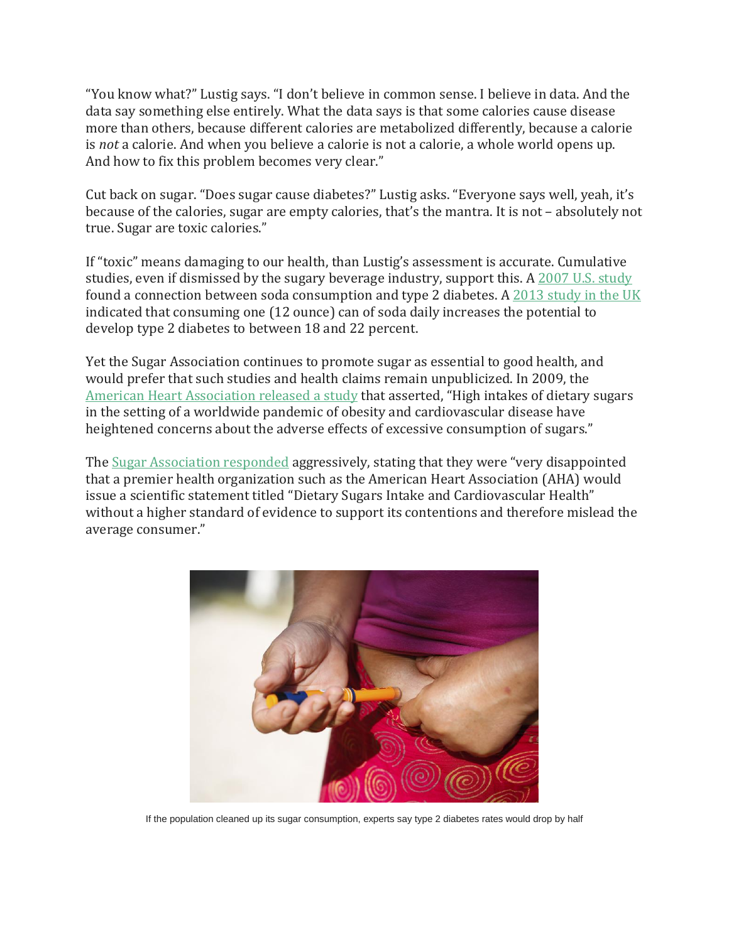"You know what?" Lustig says. "I don't believe in common sense. I believe in data. And the data say something else entirely. What the data says is that some calories cause disease more than others, because different calories are metabolized differently, because a calorie is *not* a calorie. And when you believe a calorie is not a calorie, a whole world opens up. And how to fix this problem becomes very clear."

Cut back on sugar. "Does sugar cause diabetes?" Lustig asks. "Everyone says well, yeah, it's because of the calories, sugar are empty calories, that's the mantra. It is not – absolutely not true. Sugar are toxic calories."

If "toxic" means damaging to our health, than Lustig's assessment is accurate. Cumulative studies, even if dismissed by the sugary beverage industry, support this. A 2007 U.S. [study](http://www.medicalnewstoday.com/releases/64824.php) found a connection between soda consumption and type 2 diabetes. A 2013 [study](http://www.medicalnewstoday.com/articles/259604.php) in the UK indicated that consuming one (12 ounce) can of soda daily increases the potential to develop type 2 diabetes to between 18 and 22 percent.

Yet the Sugar Association continues to promote sugar as essential to good health, and would prefer that such studies and health claims remain unpublicized. In 2009, the American Heart [Association](http://circ.ahajournals.org/content/120/11/1011.full.pdf) released a study that asserted, "High intakes of dietary sugars in the setting of a worldwide pandemic of obesity and cardiovascular disease have heightened concerns about the adverse effects of excessive consumption of sugars."

The Sugar [Association](https://www.crystalsugar.com/news-media/news-archives/news-articles/sugar-association-statement-in-response-to-american-heart-association-scientific-statement-dietary-sugars-intake-and-cardiovascular-health/) responded aggressively, stating that they were "very disappointed that a premier health organization such as the American Heart Association (AHA) would issue a scientific statement titled "Dietary Sugars Intake and Cardiovascular Health" without a higher standard of evidence to support its contentions and therefore mislead the average consumer."



If the population cleaned up its sugar consumption, experts say type 2 diabetes rates would drop by half